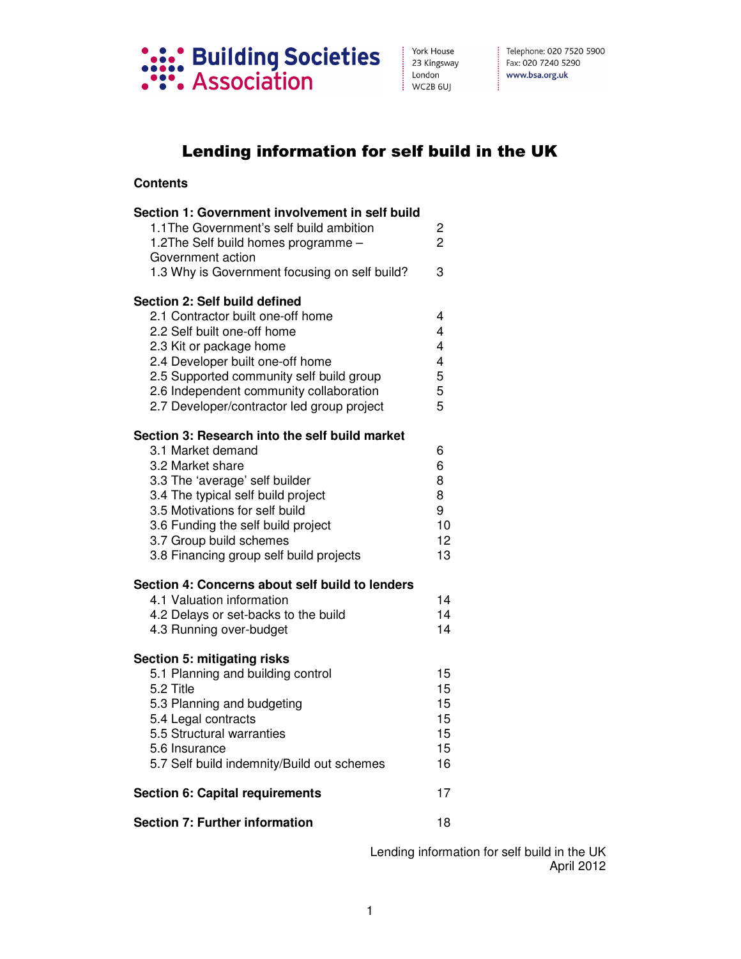

## Lending information for self build in the UK

## **Contents**

| Section 1: Government involvement in self build<br>1.1 The Government's self build ambition<br>1.2The Self build homes programme -                                                                                                                                                                            | 2<br>$\overline{2}$                                                         |
|---------------------------------------------------------------------------------------------------------------------------------------------------------------------------------------------------------------------------------------------------------------------------------------------------------------|-----------------------------------------------------------------------------|
| Government action<br>1.3 Why is Government focusing on self build?                                                                                                                                                                                                                                            | 3                                                                           |
| Section 2: Self build defined<br>2.1 Contractor built one-off home<br>2.2 Self built one-off home<br>2.3 Kit or package home<br>2.4 Developer built one-off home<br>2.5 Supported community self build group<br>2.6 Independent community collaboration<br>2.7 Developer/contractor led group project         | 4<br>4<br>$\overline{\mathbf{4}}$<br>$\overline{\mathbf{4}}$<br>5<br>5<br>5 |
| Section 3: Research into the self build market<br>3.1 Market demand<br>3.2 Market share<br>3.3 The 'average' self builder<br>3.4 The typical self build project<br>3.5 Motivations for self build<br>3.6 Funding the self build project<br>3.7 Group build schemes<br>3.8 Financing group self build projects | 6<br>6<br>8<br>8<br>9<br>10<br>12<br>13                                     |
| Section 4: Concerns about self build to lenders<br>4.1 Valuation information<br>4.2 Delays or set-backs to the build<br>4.3 Running over-budget                                                                                                                                                               | 14<br>14<br>14                                                              |
| <b>Section 5: mitigating risks</b><br>5.1 Planning and building control<br>5.2 Title<br>5.3 Planning and budgeting<br>5.4 Legal contracts<br>5.5 Structural warranties<br>5.6 Insurance<br>5.7 Self build indemnity/Build out schemes                                                                         | 15<br>15<br>15<br>15<br>15<br>15<br>16                                      |
| <b>Section 6: Capital requirements</b>                                                                                                                                                                                                                                                                        | 17                                                                          |
| <b>Section 7: Further information</b>                                                                                                                                                                                                                                                                         | 18                                                                          |

Lending information for self build in the UK April 2012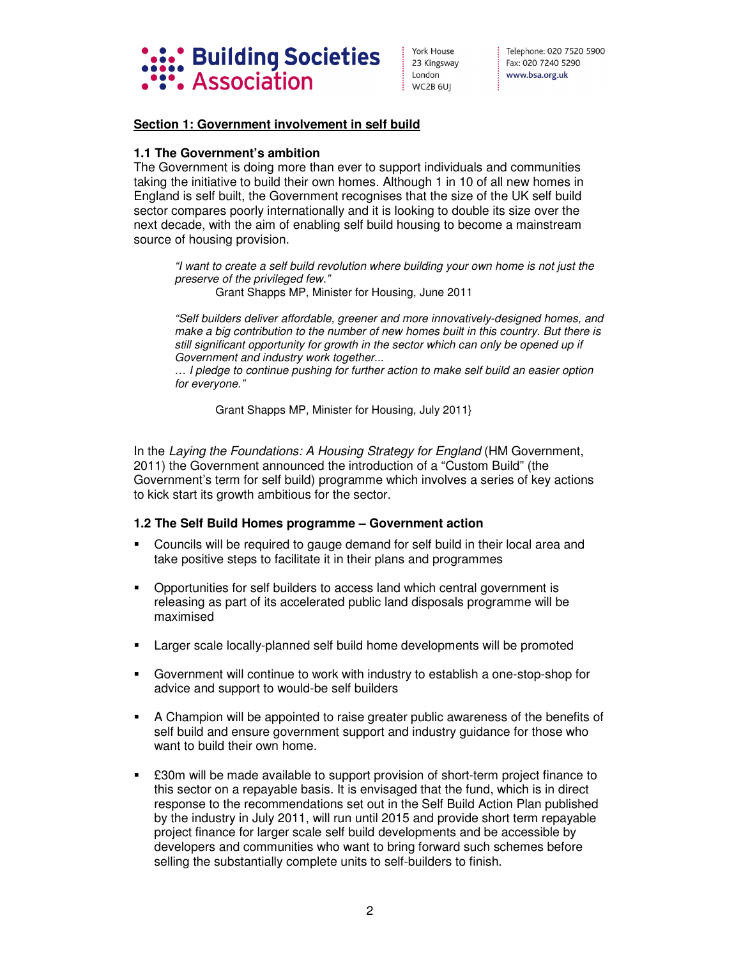

## **Section 1: Government involvement in self build**

#### **1.1 The Government's ambition**

The Government is doing more than ever to support individuals and communities taking the initiative to build their own homes. Although 1 in 10 of all new homes in England is self built, the Government recognises that the size of the UK self build sector compares poorly internationally and it is looking to double its size over the next decade, with the aim of enabling self build housing to become a mainstream source of housing provision.

*"I want to create a self build revolution where building your own home is not just the preserve of the privileged few."* 

Grant Shapps MP, Minister for Housing, June 2011

*"Self builders deliver affordable, greener and more innovatively-designed homes, and make a big contribution to the number of new homes built in this country. But there is still significant opportunity for growth in the sector which can only be opened up if Government and industry work together...* 

*… I pledge to continue pushing for further action to make self build an easier option for everyone."* 

Grant Shapps MP, Minister for Housing, July 2011}

In the Laying the Foundations: A Housing Strategy for England (HM Government, 2011) the Government announced the introduction of a "Custom Build" (the Government's term for self build) programme which involves a series of key actions to kick start its growth ambitious for the sector.

#### **1.2 The Self Build Homes programme – Government action**

- Councils will be required to gauge demand for self build in their local area and take positive steps to facilitate it in their plans and programmes
- Opportunities for self builders to access land which central government is releasing as part of its accelerated public land disposals programme will be maximised
- Larger scale locally-planned self build home developments will be promoted
- Government will continue to work with industry to establish a one-stop-shop for advice and support to would-be self builders
- A Champion will be appointed to raise greater public awareness of the benefits of self build and ensure government support and industry guidance for those who want to build their own home.
- **E30m will be made available to support provision of short-term project finance to** this sector on a repayable basis. It is envisaged that the fund, which is in direct response to the recommendations set out in the Self Build Action Plan published by the industry in July 2011, will run until 2015 and provide short term repayable project finance for larger scale self build developments and be accessible by developers and communities who want to bring forward such schemes before selling the substantially complete units to self-builders to finish.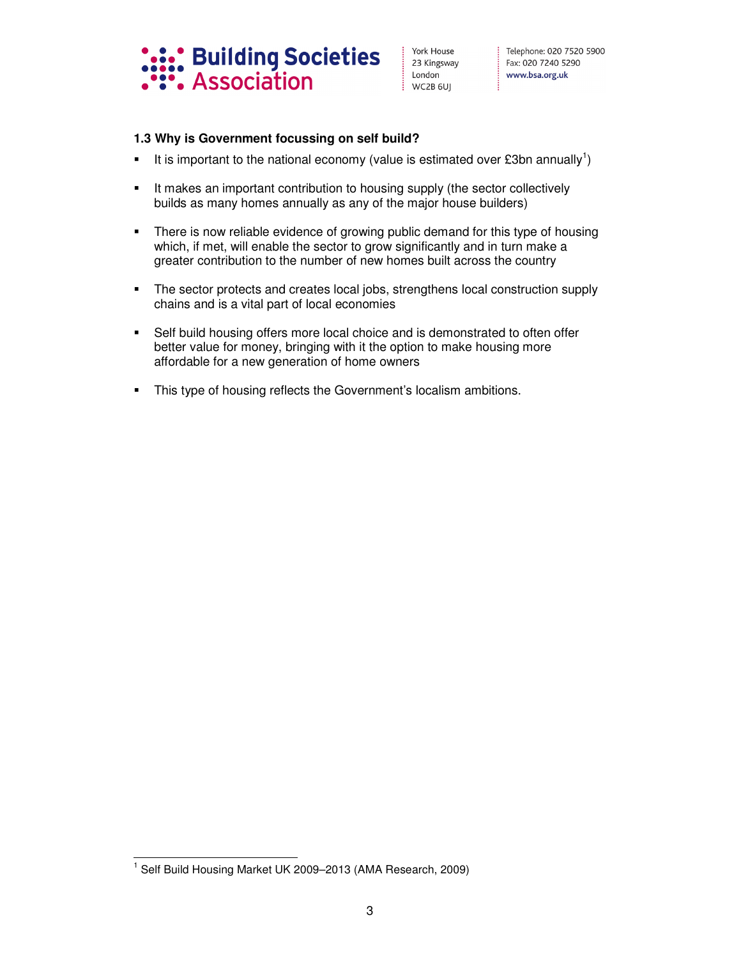

## **1.3 Why is Government focussing on self build?**

- It is important to the national economy (value is estimated over £3bn annually<sup>1</sup>)
- It makes an important contribution to housing supply (the sector collectively builds as many homes annually as any of the major house builders)
- **There is now reliable evidence of growing public demand for this type of housing** which, if met, will enable the sector to grow significantly and in turn make a greater contribution to the number of new homes built across the country
- The sector protects and creates local jobs, strengthens local construction supply chains and is a vital part of local economies
- Self build housing offers more local choice and is demonstrated to often offer better value for money, bringing with it the option to make housing more affordable for a new generation of home owners
- **This type of housing reflects the Government's localism ambitions.**

 1 Self Build Housing Market UK 2009–2013 (AMA Research, 2009)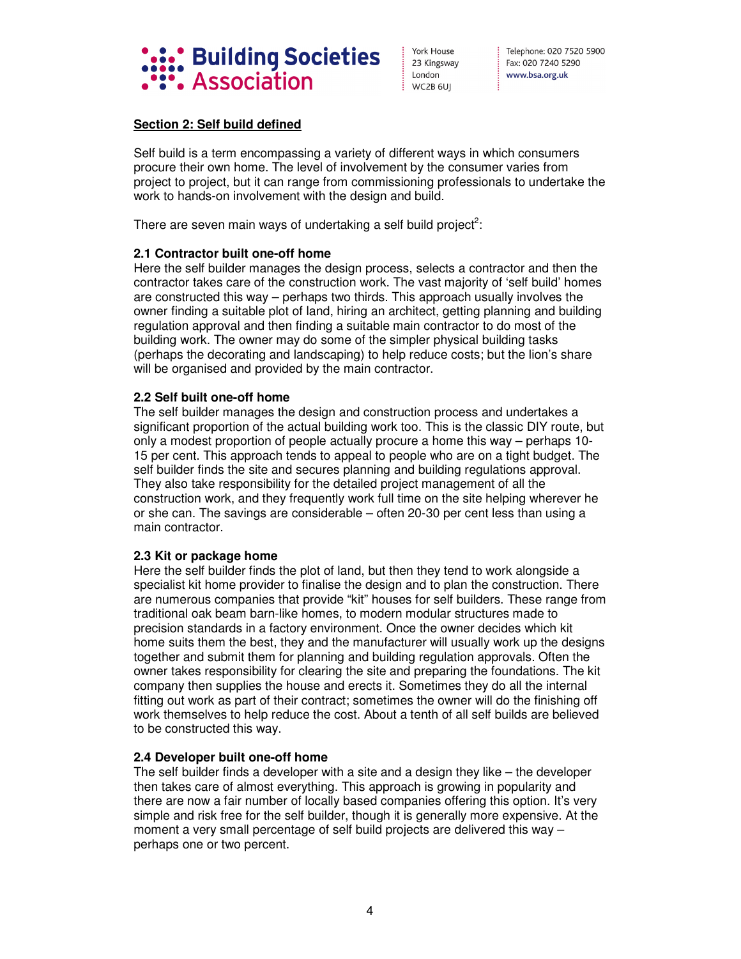

Telephone: 020 7520 5900 Fax: 020 7240 5290 www.bsa.org.uk

## **Section 2: Self build defined**

Self build is a term encompassing a variety of different ways in which consumers procure their own home. The level of involvement by the consumer varies from project to project, but it can range from commissioning professionals to undertake the work to hands-on involvement with the design and build.

There are seven main ways of undertaking a self build project<sup>2</sup>:

## **2.1 Contractor built one-off home**

Here the self builder manages the design process, selects a contractor and then the contractor takes care of the construction work. The vast majority of 'self build' homes are constructed this way – perhaps two thirds. This approach usually involves the owner finding a suitable plot of land, hiring an architect, getting planning and building regulation approval and then finding a suitable main contractor to do most of the building work. The owner may do some of the simpler physical building tasks (perhaps the decorating and landscaping) to help reduce costs; but the lion's share will be organised and provided by the main contractor.

#### **2.2 Self built one-off home**

The self builder manages the design and construction process and undertakes a significant proportion of the actual building work too. This is the classic DIY route, but only a modest proportion of people actually procure a home this way – perhaps 10- 15 per cent. This approach tends to appeal to people who are on a tight budget. The self builder finds the site and secures planning and building regulations approval. They also take responsibility for the detailed project management of all the construction work, and they frequently work full time on the site helping wherever he or she can. The savings are considerable – often 20-30 per cent less than using a main contractor.

#### **2.3 Kit or package home**

Here the self builder finds the plot of land, but then they tend to work alongside a specialist kit home provider to finalise the design and to plan the construction. There are numerous companies that provide "kit" houses for self builders. These range from traditional oak beam barn-like homes, to modern modular structures made to precision standards in a factory environment. Once the owner decides which kit home suits them the best, they and the manufacturer will usually work up the designs together and submit them for planning and building regulation approvals. Often the owner takes responsibility for clearing the site and preparing the foundations. The kit company then supplies the house and erects it. Sometimes they do all the internal fitting out work as part of their contract; sometimes the owner will do the finishing off work themselves to help reduce the cost. About a tenth of all self builds are believed to be constructed this way.

#### **2.4 Developer built one-off home**

The self builder finds a developer with a site and a design they like – the developer then takes care of almost everything. This approach is growing in popularity and there are now a fair number of locally based companies offering this option. It's very simple and risk free for the self builder, though it is generally more expensive. At the moment a very small percentage of self build projects are delivered this way – perhaps one or two percent.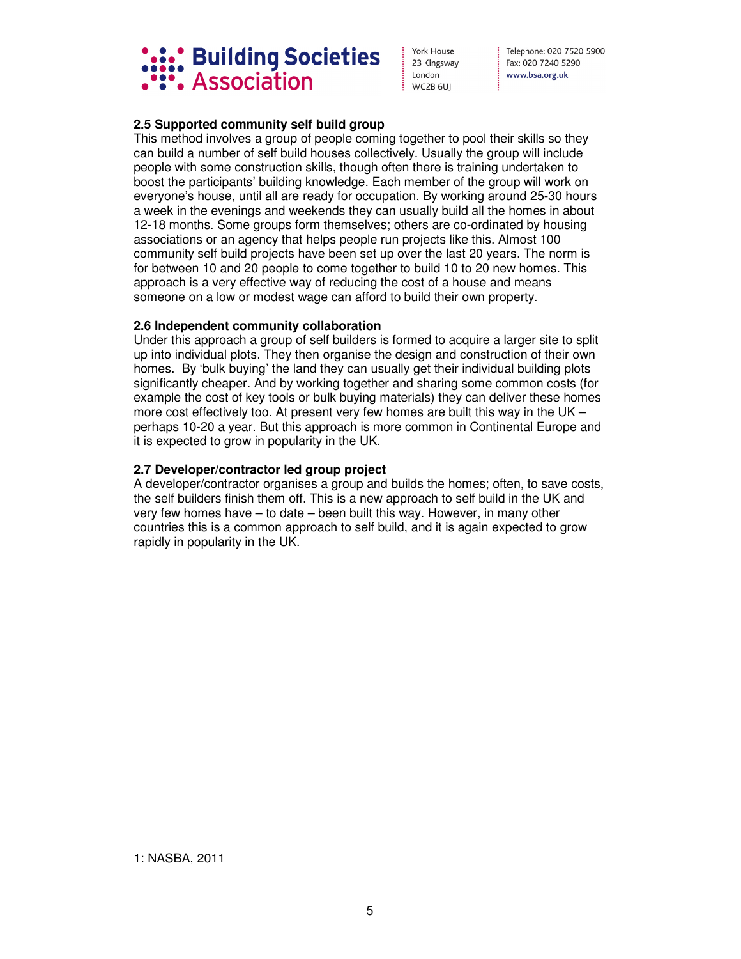

Telephone: 020 7520 5900 Fax: 020 7240 5290 www.bsa.org.uk

## **2.5 Supported community self build group**

This method involves a group of people coming together to pool their skills so they can build a number of self build houses collectively. Usually the group will include people with some construction skills, though often there is training undertaken to boost the participants' building knowledge. Each member of the group will work on everyone's house, until all are ready for occupation. By working around 25-30 hours a week in the evenings and weekends they can usually build all the homes in about 12-18 months. Some groups form themselves; others are co-ordinated by housing associations or an agency that helps people run projects like this. Almost 100 community self build projects have been set up over the last 20 years. The norm is for between 10 and 20 people to come together to build 10 to 20 new homes. This approach is a very effective way of reducing the cost of a house and means someone on a low or modest wage can afford to build their own property.

## **2.6 Independent community collaboration**

Under this approach a group of self builders is formed to acquire a larger site to split up into individual plots. They then organise the design and construction of their own homes. By 'bulk buying' the land they can usually get their individual building plots significantly cheaper. And by working together and sharing some common costs (for example the cost of key tools or bulk buying materials) they can deliver these homes more cost effectively too. At present very few homes are built this way in the UK – perhaps 10-20 a year. But this approach is more common in Continental Europe and it is expected to grow in popularity in the UK.

## **2.7 Developer/contractor led group project**

A developer/contractor organises a group and builds the homes; often, to save costs, the self builders finish them off. This is a new approach to self build in the UK and very few homes have – to date – been built this way. However, in many other countries this is a common approach to self build, and it is again expected to grow rapidly in popularity in the UK.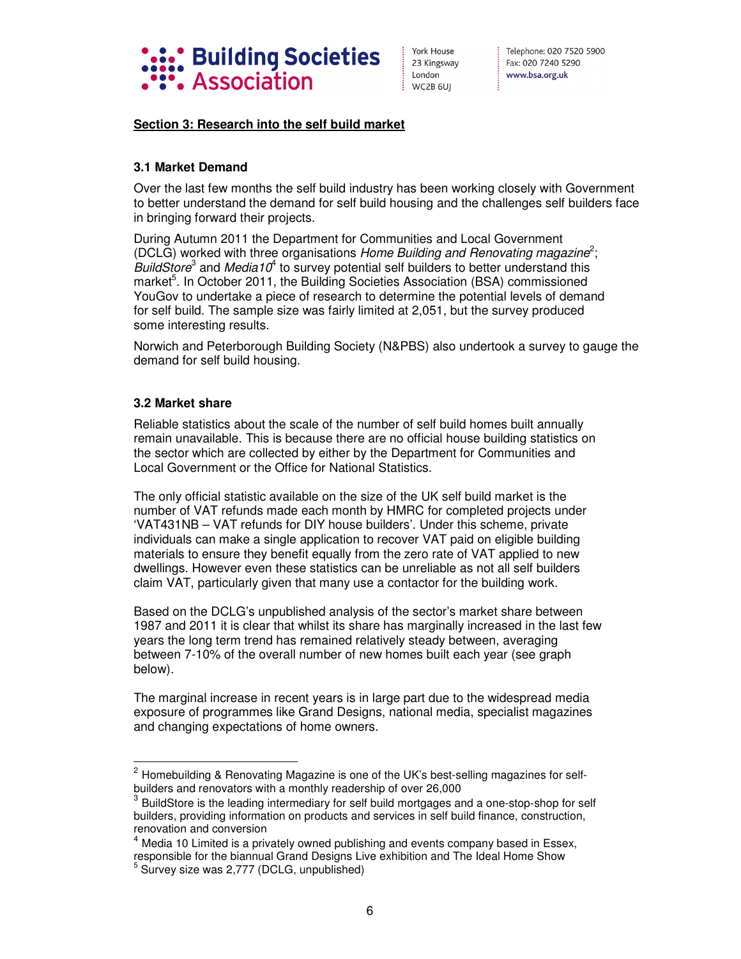

## **Section 3: Research into the self build market**

## **3.1 Market Demand**

Over the last few months the self build industry has been working closely with Government to better understand the demand for self build housing and the challenges self builders face in bringing forward their projects.

During Autumn 2011 the Department for Communities and Local Government (DCLG) worked with three organisations Home Building and Renovating magazine<sup>2</sup>; BuildStore<sup>3</sup> and *Media10*<sup>4</sup> to survey potential self builders to better understand this market<sup>5</sup>. In October 2011, the Building Societies Association (BSA) commissioned YouGov to undertake a piece of research to determine the potential levels of demand for self build. The sample size was fairly limited at 2,051, but the survey produced some interesting results.

Norwich and Peterborough Building Society (N&PBS) also undertook a survey to gauge the demand for self build housing.

## **3.2 Market share**

-

Reliable statistics about the scale of the number of self build homes built annually remain unavailable. This is because there are no official house building statistics on the sector which are collected by either by the Department for Communities and Local Government or the Office for National Statistics.

The only official statistic available on the size of the UK self build market is the number of VAT refunds made each month by HMRC for completed projects under 'VAT431NB – VAT refunds for DIY house builders'. Under this scheme, private individuals can make a single application to recover VAT paid on eligible building materials to ensure they benefit equally from the zero rate of VAT applied to new dwellings. However even these statistics can be unreliable as not all self builders claim VAT, particularly given that many use a contactor for the building work.

Based on the DCLG's unpublished analysis of the sector's market share between 1987 and 2011 it is clear that whilst its share has marginally increased in the last few years the long term trend has remained relatively steady between, averaging between 7-10% of the overall number of new homes built each year (see graph below).

The marginal increase in recent years is in large part due to the widespread media exposure of programmes like Grand Designs, national media, specialist magazines and changing expectations of home owners.

 $2$  Homebuilding & Renovating Magazine is one of the UK's best-selling magazines for selfbuilders and renovators with a monthly readership of over 26,000

<sup>3</sup> BuildStore is the leading intermediary for self build mortgages and a one-stop-shop for self builders, providing information on products and services in self build finance, construction, renovation and conversion

<sup>&</sup>lt;sup>4</sup> Media 10 Limited is a privately owned publishing and events company based in Essex, responsible for the biannual Grand Designs Live exhibition and The Ideal Home Show

<sup>&</sup>lt;sup>5</sup> Survey size was 2,777 (DCLG, unpublished)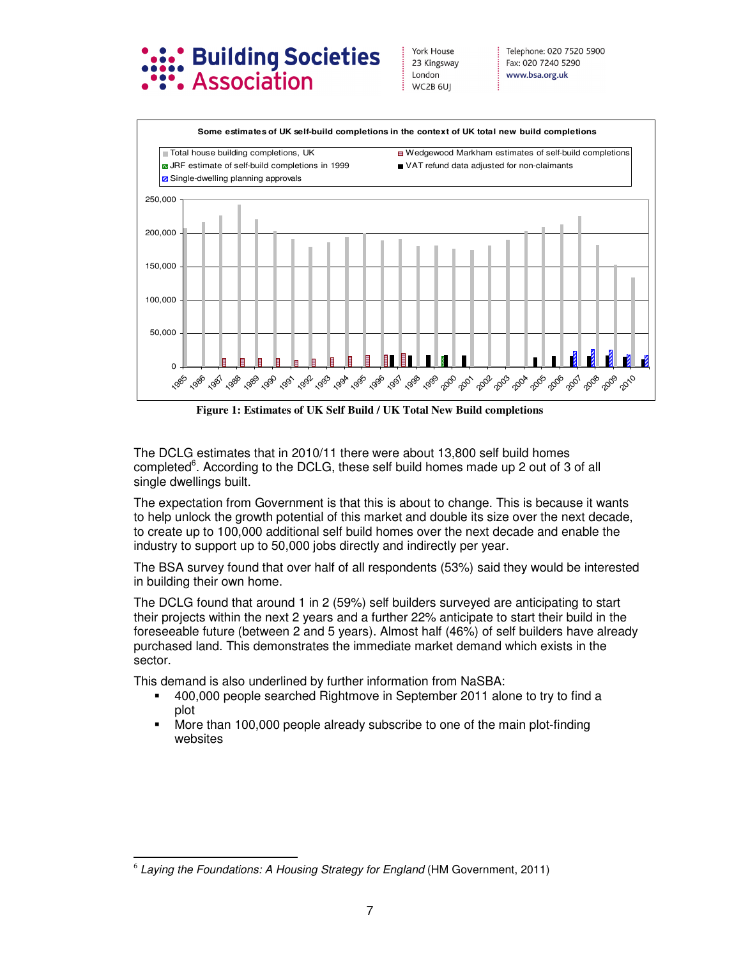



**Figure 1: Estimates of UK Self Build / UK Total New Build completions**

The DCLG estimates that in 2010/11 there were about 13,800 self build homes completed<sup>6</sup>. According to the DCLG, these self build homes made up 2 out of 3 of all single dwellings built.

The expectation from Government is that this is about to change. This is because it wants to help unlock the growth potential of this market and double its size over the next decade, to create up to 100,000 additional self build homes over the next decade and enable the industry to support up to 50,000 jobs directly and indirectly per year.

The BSA survey found that over half of all respondents (53%) said they would be interested in building their own home.

The DCLG found that around 1 in 2 (59%) self builders surveyed are anticipating to start their projects within the next 2 years and a further 22% anticipate to start their build in the foreseeable future (between 2 and 5 years). Almost half (46%) of self builders have already purchased land. This demonstrates the immediate market demand which exists in the sector.

This demand is also underlined by further information from NaSBA:

- 400,000 people searched Rightmove in September 2011 alone to try to find a plot
- More than 100,000 people already subscribe to one of the main plot-finding websites

 $\overline{a}$ 6 *Laying the Foundations: A Housing Strategy for England* (HM Government, 2011)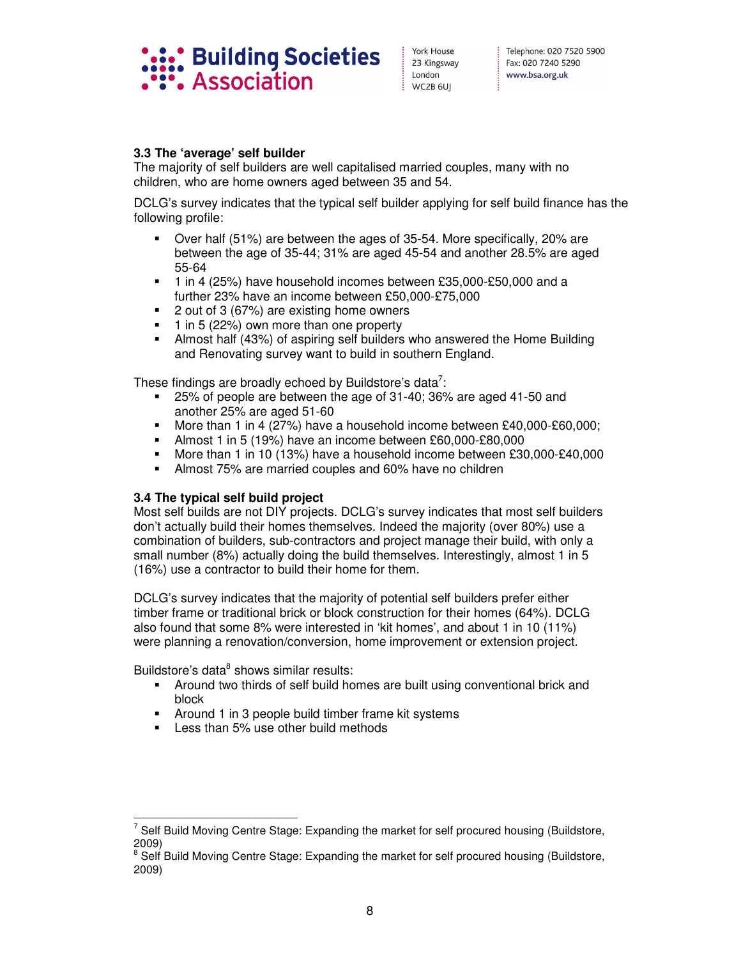

## **3.3 The 'average' self builder**

The majority of self builders are well capitalised married couples, many with no children, who are home owners aged between 35 and 54.

DCLG's survey indicates that the typical self builder applying for self build finance has the following profile:

- Over half (51%) are between the ages of 35-54. More specifically, 20% are between the age of 35-44; 31% are aged 45-54 and another 28.5% are aged 55-64
- 1 in 4 (25%) have household incomes between £35,000-£50,000 and a further 23% have an income between £50,000-£75,000
- 2 out of 3 (67%) are existing home owners
- $\blacksquare$  1 in 5 (22%) own more than one property
- Almost half (43%) of aspiring self builders who answered the Home Building and Renovating survey want to build in southern England.

These findings are broadly echoed by Buildstore's data<sup>7</sup>:

- 25% of people are between the age of 31-40; 36% are aged 41-50 and another 25% are aged 51-60
- More than 1 in 4 (27%) have a household income between £40,000-£60,000;
- Almost 1 in 5 (19%) have an income between £60,000-£80,000
- More than 1 in 10 (13%) have a household income between £30,000-£40,000
- Almost 75% are married couples and 60% have no children

## **3.4 The typical self build project**

Most self builds are not DIY projects. DCLG's survey indicates that most self builders don't actually build their homes themselves. Indeed the majority (over 80%) use a combination of builders, sub-contractors and project manage their build, with only a small number (8%) actually doing the build themselves. Interestingly, almost 1 in 5 (16%) use a contractor to build their home for them.

DCLG's survey indicates that the majority of potential self builders prefer either timber frame or traditional brick or block construction for their homes (64%). DCLG also found that some 8% were interested in 'kit homes', and about 1 in 10 (11%) were planning a renovation/conversion, home improvement or extension project.

Buildstore's data<sup>8</sup> shows similar results:

- Around two thirds of self build homes are built using conventional brick and block
- Around 1 in 3 people build timber frame kit systems
- Less than 5% use other build methods

 $\overline{a}$ 7 Self Build Moving Centre Stage: Expanding the market for self procured housing (Buildstore, 2009)

<sup>8</sup> Self Build Moving Centre Stage: Expanding the market for self procured housing (Buildstore, 2009)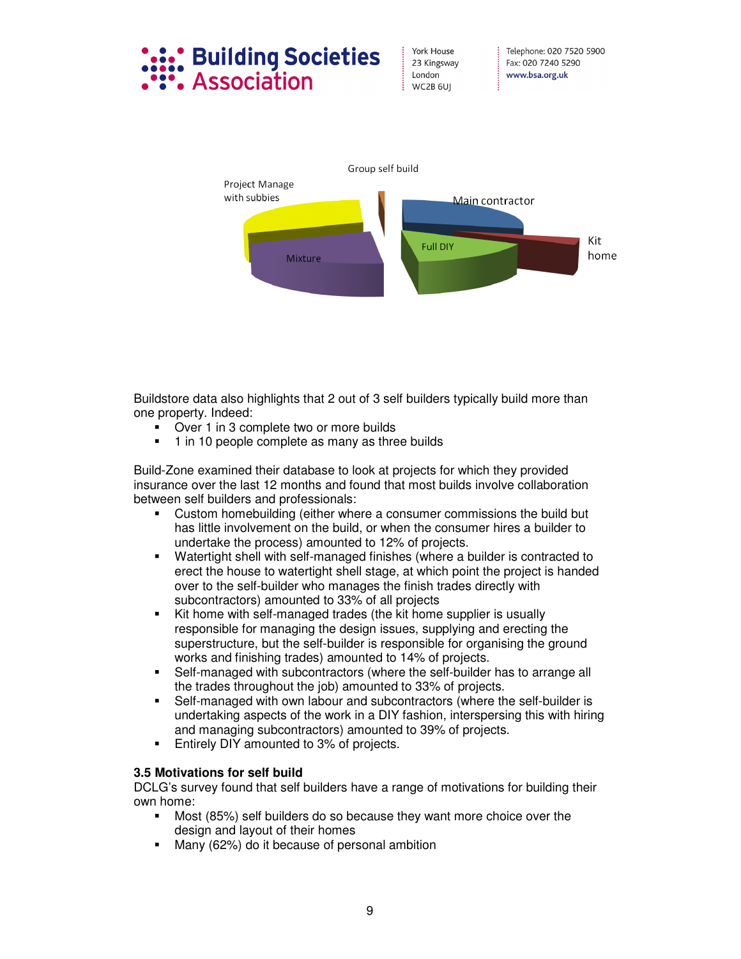# **Building Societies** Association

York House 23 Kingsway London WC2B 6UI



Buildstore data also highlights that 2 out of 3 self builders typically build more than one property. Indeed:

- Over 1 in 3 complete two or more builds
- 1 in 10 people complete as many as three builds

Build-Zone examined their database to look at projects for which they provided insurance over the last 12 months and found that most builds involve collaboration between self builders and professionals:

- Custom homebuilding (either where a consumer commissions the build but has little involvement on the build, or when the consumer hires a builder to undertake the process) amounted to 12% of projects.
- Watertight shell with self-managed finishes (where a builder is contracted to erect the house to watertight shell stage, at which point the project is handed over to the self-builder who manages the finish trades directly with subcontractors) amounted to 33% of all projects
- Kit home with self-managed trades (the kit home supplier is usually responsible for managing the design issues, supplying and erecting the superstructure, but the self-builder is responsible for organising the ground works and finishing trades) amounted to 14% of projects.
- Self-managed with subcontractors (where the self-builder has to arrange all the trades throughout the job) amounted to 33% of projects.
- Self-managed with own labour and subcontractors (where the self-builder is undertaking aspects of the work in a DIY fashion, interspersing this with hiring and managing subcontractors) amounted to 39% of projects.
- Entirely DIY amounted to 3% of projects.

## **3.5 Motivations for self build**

DCLG's survey found that self builders have a range of motivations for building their own home:

- Most (85%) self builders do so because they want more choice over the design and layout of their homes
- Many (62%) do it because of personal ambition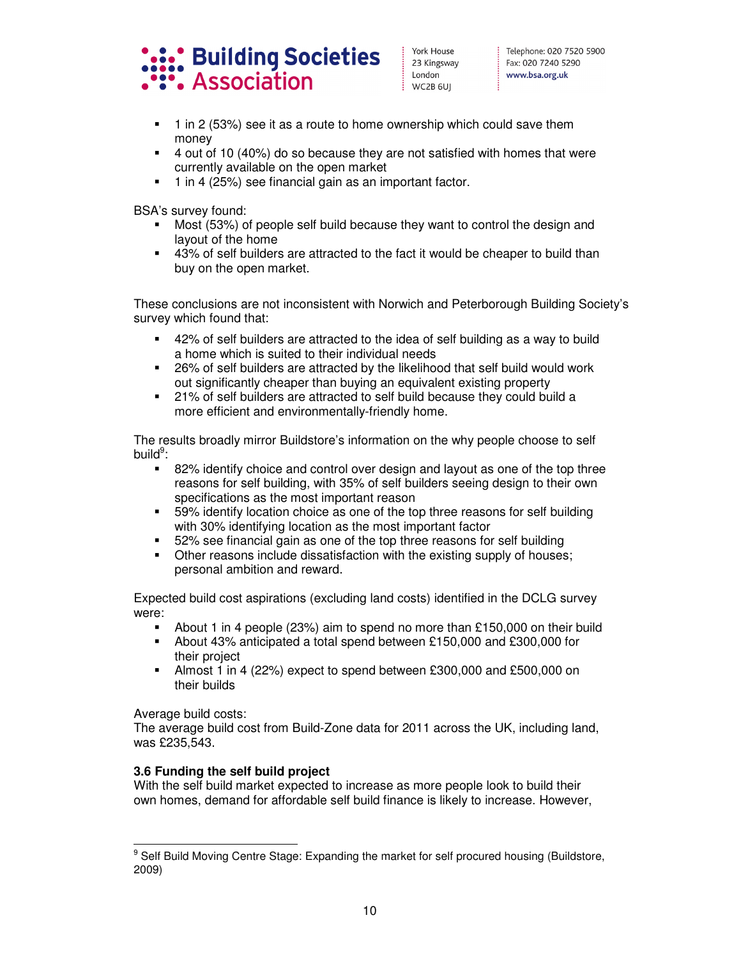

- 1 in 2 (53%) see it as a route to home ownership which could save them money
- 4 out of 10 (40%) do so because they are not satisfied with homes that were currently available on the open market
- 1 in 4 (25%) see financial gain as an important factor.

BSA's survey found:

- Most (53%) of people self build because they want to control the design and layout of the home
- 43% of self builders are attracted to the fact it would be cheaper to build than buy on the open market.

These conclusions are not inconsistent with Norwich and Peterborough Building Society's survey which found that:

- 42% of self builders are attracted to the idea of self building as a way to build a home which is suited to their individual needs
- 26% of self builders are attracted by the likelihood that self build would work out significantly cheaper than buying an equivalent existing property
- 21% of self builders are attracted to self build because they could build a more efficient and environmentally-friendly home.

The results broadly mirror Buildstore's information on the why people choose to self build<sup>9</sup>:

- 82% identify choice and control over design and layout as one of the top three reasons for self building, with 35% of self builders seeing design to their own specifications as the most important reason
- 59% identify location choice as one of the top three reasons for self building with 30% identifying location as the most important factor
- 52% see financial gain as one of the top three reasons for self building
- Other reasons include dissatisfaction with the existing supply of houses; personal ambition and reward.

Expected build cost aspirations (excluding land costs) identified in the DCLG survey were:

- About 1 in 4 people (23%) aim to spend no more than £150,000 on their build
- About 43% anticipated a total spend between £150,000 and £300,000 for their project
- Almost 1 in 4 (22%) expect to spend between £300,000 and £500,000 on their builds

Average build costs:

The average build cost from Build-Zone data for 2011 across the UK, including land, was £235,543.

## **3.6 Funding the self build project**

With the self build market expected to increase as more people look to build their own homes, demand for affordable self build finance is likely to increase. However,

 9 Self Build Moving Centre Stage: Expanding the market for self procured housing (Buildstore, 2009)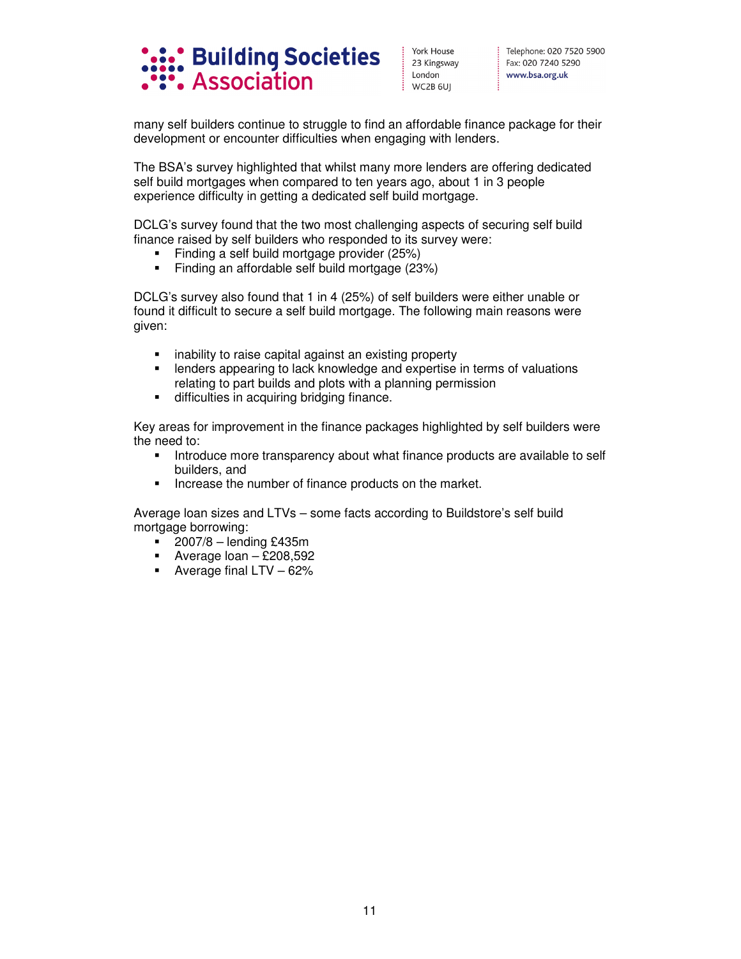

many self builders continue to struggle to find an affordable finance package for their development or encounter difficulties when engaging with lenders.

The BSA's survey highlighted that whilst many more lenders are offering dedicated self build mortgages when compared to ten years ago, about 1 in 3 people experience difficulty in getting a dedicated self build mortgage.

DCLG's survey found that the two most challenging aspects of securing self build finance raised by self builders who responded to its survey were:

- Finding a self build mortgage provider (25%)
- Finding an affordable self build mortgage (23%)

DCLG's survey also found that 1 in 4 (25%) of self builders were either unable or found it difficult to secure a self build mortgage. The following main reasons were given:

- inability to raise capital against an existing property
- lenders appearing to lack knowledge and expertise in terms of valuations relating to part builds and plots with a planning permission
- $\blacksquare$  difficulties in acquiring bridging finance.

Key areas for improvement in the finance packages highlighted by self builders were the need to:

- **Introduce more transparency about what finance products are available to self** builders, and
- Increase the number of finance products on the market.

Average loan sizes and LTVs – some facts according to Buildstore's self build mortgage borrowing:

- $\blacksquare$  2007/8 lending £435m
- Average  $\text{loan} \text{\pounds}208,592$
- Average final  $LTV 62%$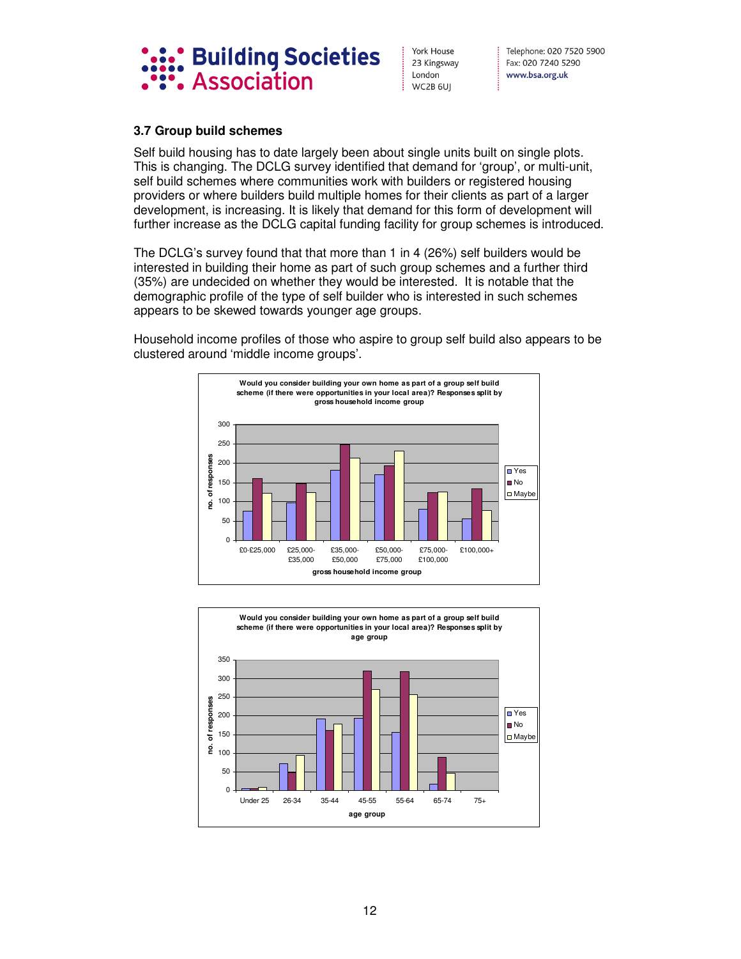

Telephone: 020 7520 5900 Fax: 020 7240 5290 www.bsa.org.uk

## **3.7 Group build schemes**

Self build housing has to date largely been about single units built on single plots. This is changing. The DCLG survey identified that demand for 'group', or multi-unit, self build schemes where communities work with builders or registered housing providers or where builders build multiple homes for their clients as part of a larger development, is increasing. It is likely that demand for this form of development will further increase as the DCLG capital funding facility for group schemes is introduced.

The DCLG's survey found that that more than 1 in 4 (26%) self builders would be interested in building their home as part of such group schemes and a further third (35%) are undecided on whether they would be interested. It is notable that the demographic profile of the type of self builder who is interested in such schemes appears to be skewed towards younger age groups.

Household income profiles of those who aspire to group self build also appears to be clustered around 'middle income groups'.



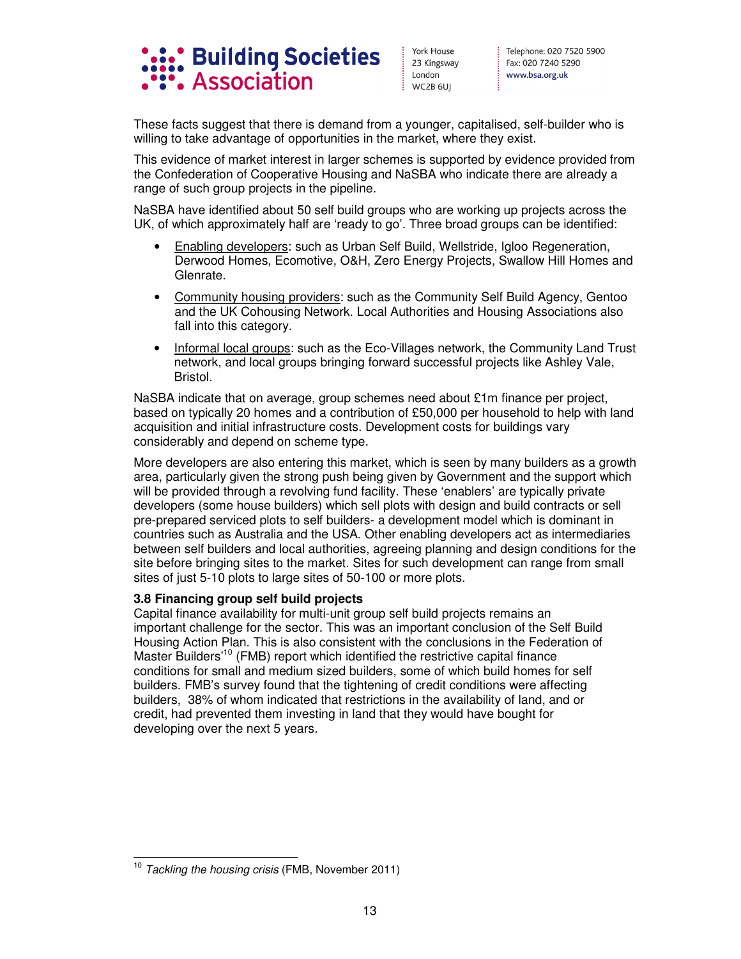

These facts suggest that there is demand from a younger, capitalised, self-builder who is willing to take advantage of opportunities in the market, where they exist.

This evidence of market interest in larger schemes is supported by evidence provided from the Confederation of Cooperative Housing and NaSBA who indicate there are already a range of such group projects in the pipeline.

NaSBA have identified about 50 self build groups who are working up projects across the UK, of which approximately half are 'ready to go'. Three broad groups can be identified:

- Enabling developers: such as Urban Self Build, Wellstride, Igloo Regeneration, Derwood Homes, Ecomotive, O&H, Zero Energy Projects, Swallow Hill Homes and Glenrate.
- Community housing providers: such as the Community Self Build Agency, Gentoo and the UK Cohousing Network. Local Authorities and Housing Associations also fall into this category.
- Informal local groups: such as the Eco-Villages network, the Community Land Trust network, and local groups bringing forward successful projects like Ashley Vale, Bristol.

NaSBA indicate that on average, group schemes need about £1m finance per project, based on typically 20 homes and a contribution of £50,000 per household to help with land acquisition and initial infrastructure costs. Development costs for buildings vary considerably and depend on scheme type.

More developers are also entering this market, which is seen by many builders as a growth area, particularly given the strong push being given by Government and the support which will be provided through a revolving fund facility. These 'enablers' are typically private developers (some house builders) which sell plots with design and build contracts or sell pre-prepared serviced plots to self builders- a development model which is dominant in countries such as Australia and the USA. Other enabling developers act as intermediaries between self builders and local authorities, agreeing planning and design conditions for the site before bringing sites to the market. Sites for such development can range from small sites of just 5-10 plots to large sites of 50-100 or more plots.

## **3.8 Financing group self build projects**

Capital finance availability for multi-unit group self build projects remains an important challenge for the sector. This was an important conclusion of the Self Build Housing Action Plan. This is also consistent with the conclusions in the Federation of Master Builders<sup>'10</sup> (FMB) report which identified the restrictive capital finance conditions for small and medium sized builders, some of which build homes for self builders. FMB's survey found that the tightening of credit conditions were affecting builders, 38% of whom indicated that restrictions in the availability of land, and or credit, had prevented them investing in land that they would have bought for developing over the next 5 years.

 $\overline{a}$ <sup>10</sup> *Tackling the housing crisis* (FMB, November 2011)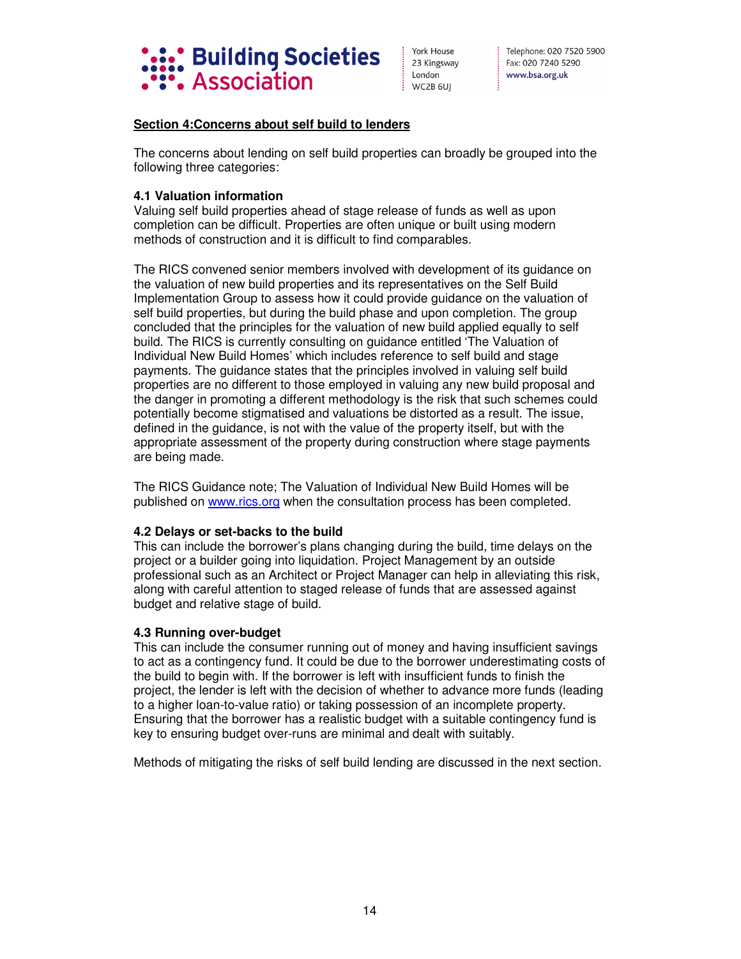

Telephone: 020 7520 5900 Fax: 020 7240 5290 www.bsa.org.uk

## **Section 4:Concerns about self build to lenders**

The concerns about lending on self build properties can broadly be grouped into the following three categories:

## **4.1 Valuation information**

Valuing self build properties ahead of stage release of funds as well as upon completion can be difficult. Properties are often unique or built using modern methods of construction and it is difficult to find comparables.

The RICS convened senior members involved with development of its guidance on the valuation of new build properties and its representatives on the Self Build Implementation Group to assess how it could provide guidance on the valuation of self build properties, but during the build phase and upon completion. The group concluded that the principles for the valuation of new build applied equally to self build. The RICS is currently consulting on guidance entitled 'The Valuation of Individual New Build Homes' which includes reference to self build and stage payments. The guidance states that the principles involved in valuing self build properties are no different to those employed in valuing any new build proposal and the danger in promoting a different methodology is the risk that such schemes could potentially become stigmatised and valuations be distorted as a result. The issue, defined in the guidance, is not with the value of the property itself, but with the appropriate assessment of the property during construction where stage payments are being made.

The RICS Guidance note; The Valuation of Individual New Build Homes will be published on www.rics.org when the consultation process has been completed.

## **4.2 Delays or set-backs to the build**

This can include the borrower's plans changing during the build, time delays on the project or a builder going into liquidation. Project Management by an outside professional such as an Architect or Project Manager can help in alleviating this risk, along with careful attention to staged release of funds that are assessed against budget and relative stage of build.

## **4.3 Running over-budget**

This can include the consumer running out of money and having insufficient savings to act as a contingency fund. It could be due to the borrower underestimating costs of the build to begin with. If the borrower is left with insufficient funds to finish the project, the lender is left with the decision of whether to advance more funds (leading to a higher loan-to-value ratio) or taking possession of an incomplete property. Ensuring that the borrower has a realistic budget with a suitable contingency fund is key to ensuring budget over-runs are minimal and dealt with suitably.

Methods of mitigating the risks of self build lending are discussed in the next section.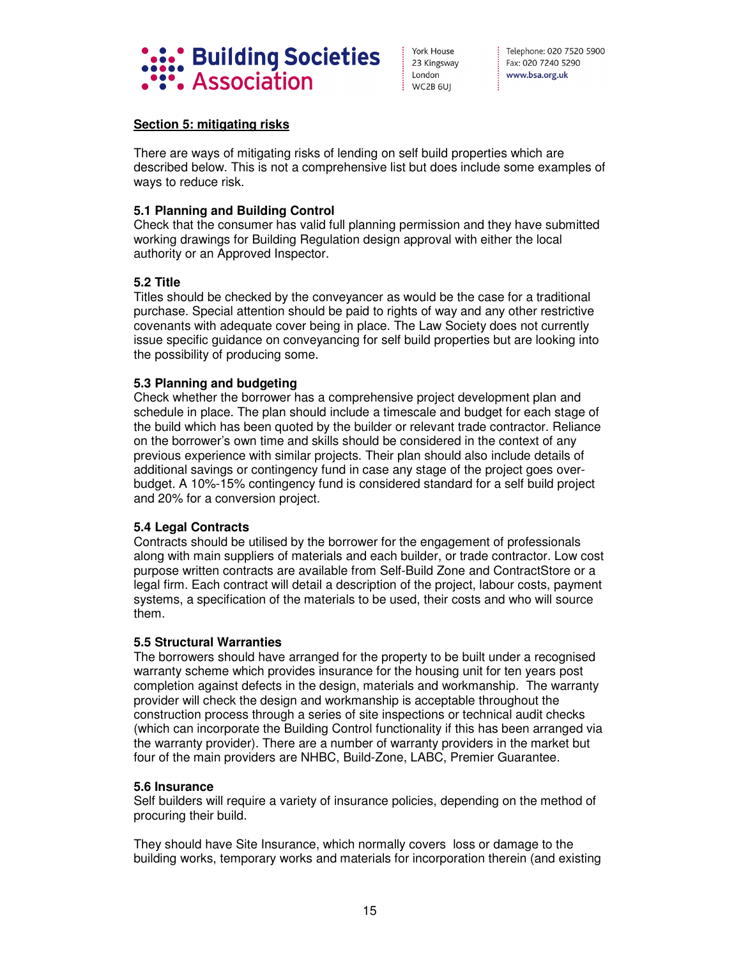

## **Section 5: mitigating risks**

There are ways of mitigating risks of lending on self build properties which are described below. This is not a comprehensive list but does include some examples of ways to reduce risk.

## **5.1 Planning and Building Control**

Check that the consumer has valid full planning permission and they have submitted working drawings for Building Regulation design approval with either the local authority or an Approved Inspector.

## **5.2 Title**

Titles should be checked by the conveyancer as would be the case for a traditional purchase. Special attention should be paid to rights of way and any other restrictive covenants with adequate cover being in place. The Law Society does not currently issue specific guidance on conveyancing for self build properties but are looking into the possibility of producing some.

## **5.3 Planning and budgeting**

Check whether the borrower has a comprehensive project development plan and schedule in place. The plan should include a timescale and budget for each stage of the build which has been quoted by the builder or relevant trade contractor. Reliance on the borrower's own time and skills should be considered in the context of any previous experience with similar projects. Their plan should also include details of additional savings or contingency fund in case any stage of the project goes overbudget. A 10%-15% contingency fund is considered standard for a self build project and 20% for a conversion project.

## **5.4 Legal Contracts**

Contracts should be utilised by the borrower for the engagement of professionals along with main suppliers of materials and each builder, or trade contractor. Low cost purpose written contracts are available from Self-Build Zone and ContractStore or a legal firm. Each contract will detail a description of the project, labour costs, payment systems, a specification of the materials to be used, their costs and who will source them.

## **5.5 Structural Warranties**

The borrowers should have arranged for the property to be built under a recognised warranty scheme which provides insurance for the housing unit for ten years post completion against defects in the design, materials and workmanship. The warranty provider will check the design and workmanship is acceptable throughout the construction process through a series of site inspections or technical audit checks (which can incorporate the Building Control functionality if this has been arranged via the warranty provider). There are a number of warranty providers in the market but four of the main providers are NHBC, Build-Zone, LABC, Premier Guarantee.

## **5.6 Insurance**

Self builders will require a variety of insurance policies, depending on the method of procuring their build.

They should have Site Insurance, which normally covers loss or damage to the building works, temporary works and materials for incorporation therein (and existing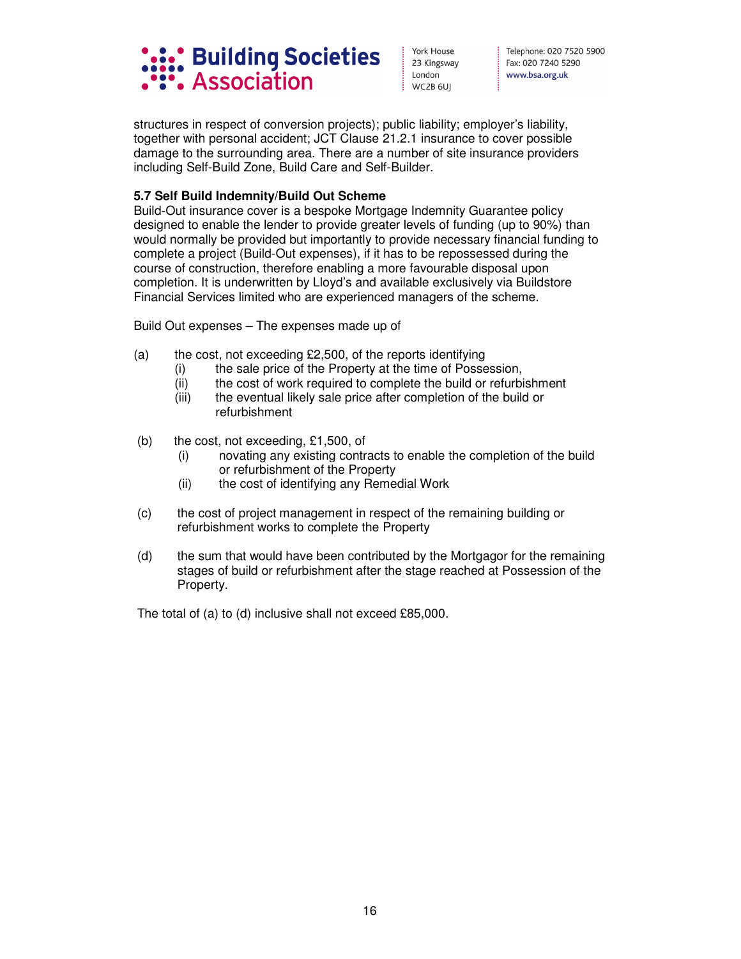

Telephone: 020 7520 5900 Fax: 020 7240 5290 www.bsa.org.uk

structures in respect of conversion projects); public liability; employer's liability, together with personal accident; JCT Clause 21.2.1 insurance to cover possible damage to the surrounding area. There are a number of site insurance providers including Self-Build Zone, Build Care and Self-Builder.

## **5.7 Self Build Indemnity/Build Out Scheme**

Build-Out insurance cover is a bespoke Mortgage Indemnity Guarantee policy designed to enable the lender to provide greater levels of funding (up to 90%) than would normally be provided but importantly to provide necessary financial funding to complete a project (Build-Out expenses), if it has to be repossessed during the course of construction, therefore enabling a more favourable disposal upon completion. It is underwritten by Lloyd's and available exclusively via Buildstore Financial Services limited who are experienced managers of the scheme.

Build Out expenses – The expenses made up of

- (a) the cost, not exceeding  $£2,500$ , of the reports identifying
	- (i) the sale price of the Property at the time of Possession,
	- (ii) the cost of work required to complete the build or refurbishment
	- (iii) the eventual likely sale price after completion of the build or refurbishment
- (b) the cost, not exceeding, £1,500, of
	- (i) novating any existing contracts to enable the completion of the build or refurbishment of the Property
	- (ii) the cost of identifying any Remedial Work
- (c) the cost of project management in respect of the remaining building or refurbishment works to complete the Property
- (d) the sum that would have been contributed by the Mortgagor for the remaining stages of build or refurbishment after the stage reached at Possession of the Property.

The total of (a) to (d) inclusive shall not exceed £85,000.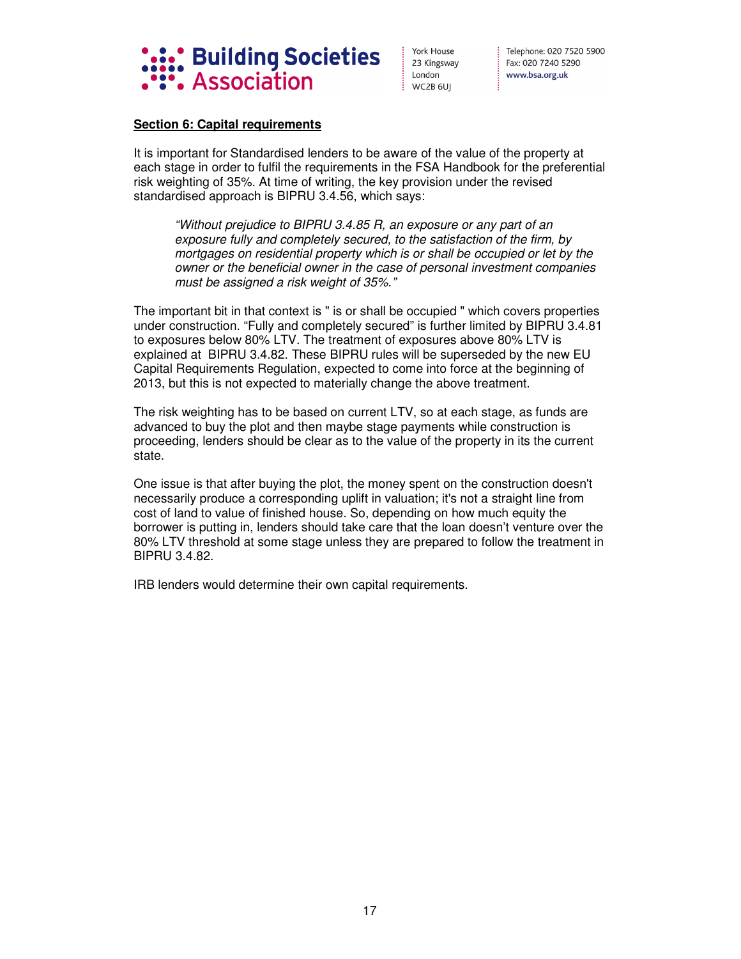

Telephone: 020 7520 5900 Fax: 020 7240 5290 www.bsa.org.uk

## **Section 6: Capital requirements**

It is important for Standardised lenders to be aware of the value of the property at each stage in order to fulfil the requirements in the FSA Handbook for the preferential risk weighting of 35%. At time of writing, the key provision under the revised standardised approach is BIPRU 3.4.56, which says:

*"Without prejudice to BIPRU 3.4.85 R, an exposure or any part of an exposure fully and completely secured, to the satisfaction of the firm, by mortgages on residential property which is or shall be occupied or let by the owner or the beneficial owner in the case of personal investment companies must be assigned a risk weight of 35%."* 

The important bit in that context is " is or shall be occupied " which covers properties under construction. "Fully and completely secured" is further limited by BIPRU 3.4.81 to exposures below 80% LTV. The treatment of exposures above 80% LTV is explained at BIPRU 3.4.82. These BIPRU rules will be superseded by the new EU Capital Requirements Regulation, expected to come into force at the beginning of 2013, but this is not expected to materially change the above treatment.

The risk weighting has to be based on current LTV, so at each stage, as funds are advanced to buy the plot and then maybe stage payments while construction is proceeding, lenders should be clear as to the value of the property in its the current state.

One issue is that after buying the plot, the money spent on the construction doesn't necessarily produce a corresponding uplift in valuation; it's not a straight line from cost of land to value of finished house. So, depending on how much equity the borrower is putting in, lenders should take care that the loan doesn't venture over the 80% LTV threshold at some stage unless they are prepared to follow the treatment in BIPRU 3.4.82.

IRB lenders would determine their own capital requirements.